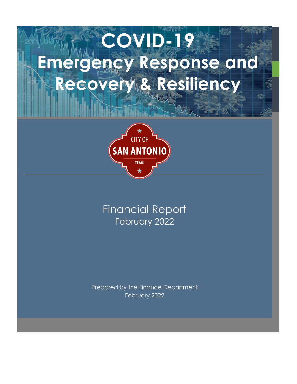# **COVID-19 Emergency Response and Recovery & Resiliency**



# Financial Report February 2022

Prepared by the Finance Department February 2022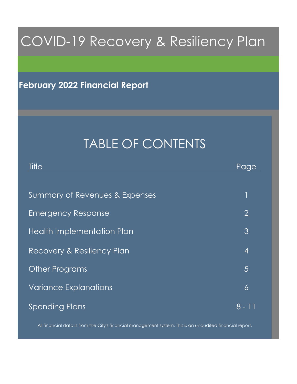# COVID-19 Recovery & Resiliency Plan

# **February 2022 Financial Report**

# TABLE OF CONTENTS

| Title                          | Page           |
|--------------------------------|----------------|
|                                |                |
| Summary of Revenues & Expenses |                |
| <b>Emergency Response</b>      | $\overline{2}$ |
| Health Implementation Plan     | 3              |
| Recovery & Resiliency Plan     | $\overline{4}$ |
| <b>Other Programs</b>          | 5              |
| <b>Variance Explanations</b>   | 6              |
| <b>Spending Plans</b>          | 8 - 11         |

All financial data is from the City's financial management system. This is an unaudited financial report.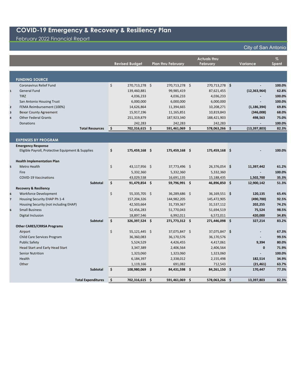### February 2022 Financial Report

|                         |                                                   |     | <b>Revised Budget</b> | <b>Plan thru February</b> |      | <b>Actuals thru</b><br><b>February</b> |      | Variance                 | $\%$<br><b>Spent</b> |
|-------------------------|---------------------------------------------------|-----|-----------------------|---------------------------|------|----------------------------------------|------|--------------------------|----------------------|
|                         |                                                   |     |                       |                           |      |                                        |      |                          |                      |
|                         | <b>FUNDING SOURCE</b>                             |     |                       |                           |      |                                        |      |                          |                      |
|                         | Coronavirus Relief Fund                           | \$  | 270,713,278 \$        | 270,713,278 \$            |      | 270,713,278 \$                         |      |                          | 100.0%               |
| $\mathbf{1}$            | <b>General Fund</b>                               |     | 139,460,881           | 99,985,419                |      | 87,621,455                             |      | (12, 363, 964)           | 62.8%                |
|                         | <b>TIRZ</b>                                       |     | 4,036,233             | 4,036,233                 |      | 4,036,233                              |      |                          | 100.0%               |
|                         | San Antonio Housing Trust                         |     | 6,000,000             | 6,000,000                 |      | 6,000,000                              |      | $\overline{a}$           | 100.0%               |
| $\mathbf{2}$            | FEMA Reimbursement (100%)                         |     | 14,626,864            | 11,394,665                |      | 10,208,271                             |      | (1, 186, 394)            | 69.8%                |
| $\overline{\mathbf{3}}$ | <b>Bexar County Agreement</b>                     |     | 15,917,196            | 11,165,851                |      | 10,819,843                             |      | (346,008)                | 68.0%                |
| $\overline{4}$          | <b>Other Federal Grants</b>                       |     | 251,319,879           | 187,923,340               |      | 188,421,903                            |      | 498,563                  | 75.0%                |
|                         | <b>Donations</b>                                  |     | 242,283               | 242,283                   |      | 242,283                                |      |                          | 100.0%               |
|                         | <b>Total Resources</b>                            | \$. | 702,316,615           | \$<br>591,461,069 \$      |      | 578,063,266 \$                         |      | (13, 397, 803)           | 82.3%                |
|                         |                                                   |     |                       |                           |      |                                        |      |                          |                      |
|                         | <b>EXPENSES BY PROGRAM</b>                        |     |                       |                           |      |                                        |      |                          |                      |
|                         | <b>Emergency Response</b>                         |     |                       |                           |      |                                        |      |                          |                      |
|                         | Eligible Payroll, Protective Equipment & Supplies | \$  | 175,459,168 \$        | 175,459,168 \$            |      | 175,459,168 \$                         |      |                          | 100.0%               |
|                         | <b>Health Implementation Plan</b>                 |     |                       |                           |      |                                        |      |                          |                      |
| 5                       | Metro Health                                      | \$  | 43,117,956 \$         | 37,773,496 \$             |      | 26,376,054 \$                          |      | 11,397,442               | 61.2%                |
|                         | Fire                                              |     | 5,332,360             | 5,332,360                 |      | 5,332,360                              |      |                          | 100.0%               |
|                         | <b>COVID-19 Vaccinations</b>                      |     | 43,029,538            | 16,691,135                |      | 15,188,435                             |      | 1,502,700                | 35.3%                |
|                         | Subtotal                                          | \$  | 91,479,854 \$         | 59,796,991 \$             |      | 46,896,850 \$                          |      | 12,900,142               | 51.3%                |
|                         | <b>Recovery &amp; Resiliency</b>                  |     |                       |                           |      |                                        |      |                          |                      |
| 6                       | Workforce Development                             | \$  | 55,335,705 \$         | 36,289,686 \$             |      | 36,169,551 \$                          |      | 120,135                  | 65.4%                |
| $\overline{7}$          | Housing Security EHAP Ph 1-4                      |     | 157,204,326           | 144,982,205               |      | 145,472,905                            |      | (490, 700)               | 92.5%                |
|                         | Housing Security (not including EHAP)             |     | 42,503,664            | 31,739,367                |      | 31,537,112                             |      | 202,255                  | 74.2%                |
| 6                       | <b>Small Business</b>                             |     | 52,456,283            | 51,770,043                |      | 51,694,519                             |      | 75,524                   | 98.5%                |
|                         | Digital Inclusion                                 |     | 18,897,546            | 6,992,011                 |      | 6,572,011                              |      | 420,000                  | 34.8%                |
|                         | <b>Subtotal</b>                                   | \$  | 326,397,524 \$        | 271,773,312 \$            |      | 271,446,098 \$                         |      | 327,214                  | 83.2%                |
|                         | <b>Other CARES/CRRSA Programs</b>                 |     |                       |                           |      |                                        |      |                          |                      |
|                         | Airport                                           | \$  | 55,121,445 \$         | 37,075,847 \$             |      | 37,075,847 \$                          |      | $\overline{\phantom{a}}$ | 67.3%                |
|                         | Child Care Services Program                       |     | 36,360,083            | 36,170,576                |      | 36,170,576                             |      |                          | 99.5%                |
|                         | <b>Public Safety</b>                              |     | 5,524,529             | 4,426,455                 |      | 4,417,061                              |      | 9,394                    | 80.0%                |
|                         | Head Start and Early Head Start                   |     | 3,347,389             | 2,406,564                 |      | 2,406,564                              |      | $\mathbf{0}$             | 71.9%                |
|                         | <b>Senior Nutrition</b>                           |     | 1,323,060             | 1,323,060                 |      | 1,323,060                              |      | $\blacksquare$           | 100.0%               |
|                         | Health                                            |     | 6,184,397             | 2,338,012                 |      | 2,155,498                              |      | 182,514                  | 34.9%                |
|                         | Other                                             |     | 1,119,166             | 691,082                   |      | 712,543                                |      | (21, 461)                | 63.7%                |
|                         | <b>Subtotal</b>                                   | \$  | 108,980,069 \$        | 84,431,598 \$             |      | 84,261,150 \$                          |      | 170,447                  | 77.3%                |
|                         | <b>Total Expenditures</b>                         | \$. | 702,316,615 \$        | 591,461,069               | - \$ | 578,063,266                            | ∣ \$ | 13,397,803               | 82.3%                |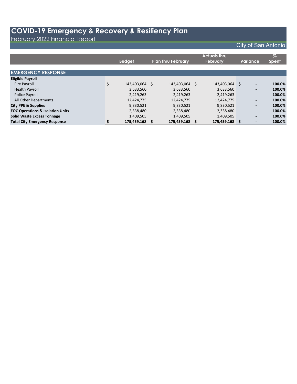February 2022 Financial Report

|                                             | <b>Budget</b>        | <b>Plan thru February</b> |    | <b>Actuals thru</b><br><b>February</b> |     | Variance                 | $\%$<br><b>Spent</b> |
|---------------------------------------------|----------------------|---------------------------|----|----------------------------------------|-----|--------------------------|----------------------|
| <b>EMERGENCY RESPONSE</b>                   |                      |                           |    |                                        |     |                          |                      |
| <b>Eligible Payroll</b>                     |                      |                           |    |                                        |     |                          |                      |
| <b>Fire Payroll</b>                         | \$<br>143,403,064 \$ | 143,403,064               | S. | 143,403,064                            | \$. | $\overline{\phantom{a}}$ | 100.0%               |
| <b>Health Payroll</b>                       | 3,633,560            | 3,633,560                 |    | 3,633,560                              |     | $\overline{\phantom{a}}$ | 100.0%               |
| Police Payroll                              | 2,419,263            | 2,419,263                 |    | 2,419,263                              |     | $\overline{\phantom{a}}$ | 100.0%               |
| All Other Departments                       | 12,424,775           | 12,424,775                |    | 12,424,775                             |     | $\overline{\phantom{a}}$ | 100.0%               |
| <b>City PPE &amp; Supplies</b>              | 9,830,521            | 9,830,521                 |    | 9,830,521                              |     | $\overline{\phantom{a}}$ | 100.0%               |
| <b>EOC Operations &amp; Isolation Units</b> | 2,338,480            | 2,338,480                 |    | 2,338,480                              |     | $\overline{\phantom{a}}$ | 100.0%               |
| <b>Solid Waste Excess Tonnage</b>           | 1,409,505            | 1,409,505                 |    | 1,409,505                              |     | $\overline{\phantom{a}}$ | 100.0%               |
| <b>Total City Emergency Response</b>        | 175,459,168 \$       | 175,459,168               |    | 175,459,168                            |     |                          | 100.0%               |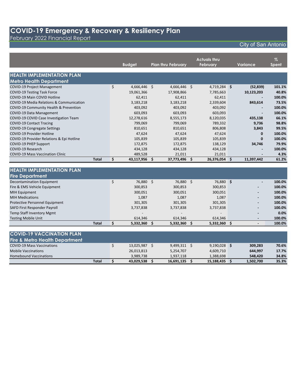February 2022 Financial Report

## City of San Antonio

|                                                     |                    |                           |                     | <b>Actuals thru</b> |      |                 | $\%$         |
|-----------------------------------------------------|--------------------|---------------------------|---------------------|---------------------|------|-----------------|--------------|
|                                                     | <b>Budget</b>      | <b>Plan thru February</b> |                     | February            |      | <b>Variance</b> | <b>Spent</b> |
|                                                     |                    |                           |                     |                     |      |                 |              |
| <b>HEALTH IMPLEMENTATION PLAN</b>                   |                    |                           |                     |                     |      |                 |              |
| <b>Metro Health Department</b>                      |                    |                           |                     |                     |      |                 |              |
| <b>COVID-19 Project Management</b>                  | \$<br>4,666,446 \$ | 4,666,446 \$              |                     | $4,719,284$ \$      |      | (52, 839)       | 101.1%       |
| <b>COVID-19 Testing Task Force</b>                  | 19,061,366         | 17,908,866                |                     | 7,785,663           |      | 10,123,203      | 40.8%        |
| COVID-19 Main COVID Hotline                         | 62,411             | 62,411                    |                     | 62,411              |      |                 | 100.0%       |
| <b>COVID-19 Media Relations &amp; Communication</b> | 3,183,218          | 3,183,218                 |                     | 2,339,604           |      | 843,614         | 73.5%        |
| COVID-19 Community Health & Prevention              | 403,092            | 403,092                   |                     | 403,092             |      |                 | 100.0%       |
| COVID-19 Data Management                            | 603,093            | 603,093                   |                     | 603,093             |      |                 | 100.0%       |
| COVID-19 COVID Case Investigation Team              | 12,278,616         | 8,555,173                 |                     | 8,120,035           |      | 435,138         | 66.1%        |
| <b>COVID-19 Contact Tracing</b>                     | 799,069            | 799,069                   |                     | 789,332             |      | 9,736           | 98.8%        |
| <b>COVID-19 Congregate Settings</b>                 | 810,651            | 810,651                   |                     | 806,808             |      | 3,843           | 99.5%        |
| <b>COVID-19 Provider Hotline</b>                    | 47,624             | 47,624                    |                     | 47,624              |      | $\bf{0}$        | 100.0%       |
| COVID-19 Provider Relations & Epi Hotline           | 105,839            | 105,839                   |                     | 105,839             |      | $\Omega$        | 100.0%       |
| <b>COVID-19 PHEP Support</b>                        | 172,875            | 172,875                   |                     | 138,129             |      | 34,746          | 79.9%        |
| <b>COVID-19 Research</b>                            | 434,128            | 434,128                   |                     | 434,128             |      |                 | 100.0%       |
| <b>COVID-19 Mass Vaccination Clinic</b>             | 489,528            | 21,011                    |                     | 21,011              |      |                 | 4.3%         |
| <b>Total</b>                                        | \$<br>43,117,956   | - \$<br>37,773,496        | \$                  | 26,376,054 \$       |      | 11,397,442      | 61.2%        |
|                                                     |                    |                           |                     |                     |      |                 |              |
| <b>HEALTH IMPLEMENTATION PLAN</b>                   |                    |                           |                     |                     |      |                 |              |
| <b>Fire Department</b>                              |                    |                           |                     |                     |      |                 |              |
| <b>Decontamination Equipment</b>                    | \$<br>76,880 \$    | 76,880                    | $\ddot{\mathsf{s}}$ | 76,880 \$           |      |                 | 100.0%       |
| Fire & EMS Vehicle Equipment                        | 300,853            | 300,853                   |                     | 300,853             |      |                 | 100.0%       |
| <b>MIH Equipment</b>                                | 300,051            | 300,051                   |                     | 300,051             |      |                 | 100.0%       |
| <b>MIH Medications</b>                              | 1,087              | 1,087                     |                     | 1,087               |      |                 | 100.0%       |
| Protective Personnel Equipment                      | 301,305            | 301,305                   |                     | 301,305             |      |                 | 100.0%       |
| SAFD First Responder Payroll                        | 3,737,838          | 3,737,838                 |                     | 3,737,838           |      |                 | 100.0%       |
| <b>Temp Staff Inventory Mgmt</b>                    |                    |                           |                     |                     |      |                 | 0.0%         |
| <b>Testing Mobile Unit</b>                          | 614,346            | 614,346                   |                     | 614,346             |      |                 | 100.0%       |
| <b>Total</b>                                        | \$<br>5,332,360    | Ŝ.<br>5,332,360           | Ŝ.                  | 5,332,360           | - \$ |                 | 100.0%       |

| <b>COVID-19 VACCINATION PLAN</b>          |            |            |                |           |       |
|-------------------------------------------|------------|------------|----------------|-----------|-------|
| <b>Fire &amp; Metro Health Department</b> |            |            |                |           |       |
| <b>COVID-19 Mass Vaccinations</b>         | 13,025,987 | 9,499,311  | $9,190,028$ \$ | 309.283   | 70.6% |
| <b>Mobile Vaccinations</b>                | 26,013,813 | 5,254,707  | 4.609.710      | 644.997   | 17.7% |
| <b>Homebound Vaccinations</b>             | 3.989.738  | 1,937,118  | 1,388,698      | 548,420   | 34.8% |
| Total                                     | 43,029,538 | 16.691.135 | 15,188,435     | 1,502,700 | 35.3% |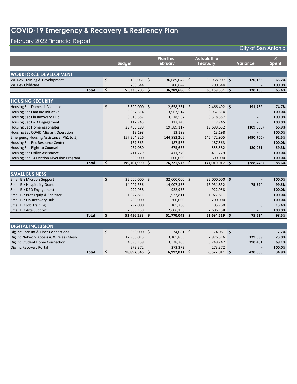### February 2022 Financial Report

|                                                                                |              | <b>Budget</b>        |    | <b>Plan thru</b><br>February | <b>Actuals thru</b><br><b>February</b> |    | Variance   | $\%$<br>Spent |
|--------------------------------------------------------------------------------|--------------|----------------------|----|------------------------------|----------------------------------------|----|------------|---------------|
|                                                                                |              |                      |    |                              |                                        |    |            |               |
| <b>WORKFORCE DEVELOPMENT</b>                                                   |              |                      |    |                              |                                        |    |            |               |
| WF Dev Training & Development                                                  |              | \$<br>55,135,061 \$  |    | 36,089,042 \$                | 35,968,907 \$                          |    | 120,135    | 65.2%         |
| <b>WF Dev Childcare</b>                                                        |              | 200,644              |    | 200,644                      | 200,644                                |    |            | 100.0%        |
|                                                                                | <b>Total</b> | \$<br>55,335,705     | \$ | 36,289,686                   | \$<br>36,169,551 \$                    |    | 120,135    | 65.4%         |
|                                                                                |              |                      |    |                              |                                        |    |            |               |
| <b>HOUSING SECURITY</b>                                                        |              |                      |    |                              |                                        |    |            |               |
| <b>Housing Sec Domestic Violence</b>                                           |              | \$<br>$3,300,000$ \$ |    | $2,658,231$ \$               | $2,466,492$ \$                         |    | 191,739    | 74.7%         |
| Housing Sec Fam Ind Initiative                                                 |              | 3,967,514            |    | 3,967,514                    | 3,967,514                              |    |            | 100.0%        |
| Housing Sec Fin Recovery Hub                                                   |              | 3,518,587            |    | 3,518,587                    | 3,518,587                              |    |            | 100.0%        |
| Housing Sec D2D Engagement                                                     |              | 117,745              |    | 117,745                      | 117,745                                |    |            | 100.0%        |
| Housing Sec Homeless Shelter                                                   |              | 29,450,198           |    | 19,589,117                   | 19,698,652                             |    | (109, 535) | 66.9%         |
| Housing Sec COVID Migrant Operation                                            |              | 13,198               |    | 13,198                       | 13,198                                 |    |            | 100.0%        |
| Emergency Housing Assistance (Ph1 to 5)                                        |              | 157,204,326          |    | 144,982,205                  | 145,472,905                            |    | (490, 700) | 92.5%         |
| Housing Sec Rec Resource Center                                                |              | 187,563              |    | 187,563                      | 187,563                                |    |            | 100.0%        |
| Housing Sec Right to Counsel                                                   |              | 937,080              |    | 675,633                      | 555,582                                |    | 120,051    | 59.3%         |
| <b>Housing Sec Utility Assistance</b>                                          |              | 411,779              |    | 411,779                      | 411,779                                |    |            | 100.0%        |
| Housing Sec TX Eviction Diversion Program                                      |              | 600,000              |    | 600,000                      | 600,000                                |    |            | 100.0%        |
|                                                                                | <b>Total</b> | \$<br>199,707,990    | Ŝ. | 176,721,572 \$               | 177,010,017                            | Ŝ. | (288, 445) | 88.6%         |
|                                                                                |              |                      |    |                              |                                        |    |            |               |
| <b>SMALL BUSINESS</b>                                                          |              |                      |    |                              |                                        |    |            |               |
| Small Biz Microbiz Support                                                     |              | \$<br>32,000,000 \$  |    | 32,000,000 \$                | 32,000,000 \$                          |    |            | 100.0%        |
| <b>Small Biz Hospitality Grants</b>                                            |              | 14,007,356           |    | 14,007,356                   | 13,931,832                             |    | 75,524     | 99.5%         |
| Small Biz D2D Engagement                                                       |              | 922,958              |    | 922,958                      | 922,958                                |    |            | 100.0%        |
| Small Biz Prot Equip & Sanitizer                                               |              | 1,927,811            |    | 1,927,811                    | 1,927,811                              |    |            | 100.0%        |
| Small Biz Fin Recovery Hub                                                     |              | 200,000              |    | 200,000                      | 200,000                                |    |            | 100.0%        |
| <b>Small Biz Job Training</b>                                                  |              | 792,000              |    | 105,760                      | 105,760                                |    | $\bf{0}$   | 13.4%         |
| <b>Small Biz Arts Support</b>                                                  |              | 2,606,158            |    | 2,606,158                    | 2,606,158                              |    |            | 100.0%        |
|                                                                                | <b>Total</b> | \$<br>52,456,283 \$  |    | 51,770,043 \$                | 51,694,519 \$                          |    | 75,524     | 98.5%         |
| <b>DIGITAL INCLUSION</b>                                                       |              |                      |    |                              |                                        |    |            |               |
|                                                                                |              | \$<br>960,000 \$     |    | 74,081 \$                    | 74,081 \$                              |    |            | 7.7%          |
| Dig Inc Core Inf & Fiber Connections<br>Dig Inc Network Access & Wireless Mesh |              | 12,966,015           |    | 3,105,855                    | 2,976,316                              |    | 129,539    | 23.0%         |
| Dig Inc Student Home Connection                                                |              | 4,698,159            |    | 3,538,703                    | 3,248,242                              |    | 290,461    | 69.1%         |

Dig Inc Student Home Connection 4,698,159 3,538,703 3,248,242 **290,461 69.1%** Dig Inc Recovery Portal 273,372 273,372 273,372 **- 100.0%**

**18,897,546 \$**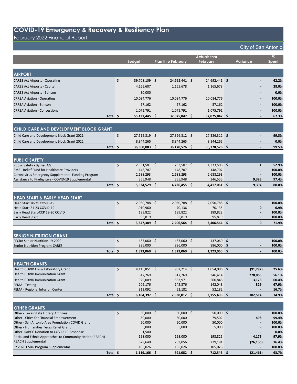February 2022 Financial Report

|                                                                                           |          | <b>Budget</b>     | <b>Plan thru February</b> | <b>Actuals thru</b><br><b>February</b> |     | <b>Variance</b>          | $\%$<br>Spent    |
|-------------------------------------------------------------------------------------------|----------|-------------------|---------------------------|----------------------------------------|-----|--------------------------|------------------|
|                                                                                           |          |                   |                           |                                        |     |                          |                  |
| <b>AIRPORT</b>                                                                            |          |                   |                           |                                        |     |                          |                  |
| <b>CARES Act Airports - Operating</b>                                                     | \$       | 39,708,109 \$     | 24,692,441 \$             | 24,692,441 \$                          |     |                          | 62.2%            |
| <b>CARES Act Airports - Capital</b>                                                       |          | 4,165,607         | 1,165,678                 | 1,165,678                              |     |                          | 28.0%            |
| <b>CARES Act Airports - Stinson</b>                                                       |          | 30,000            |                           |                                        |     |                          | 0.0%             |
|                                                                                           |          | 10,084,776        | 10,084,776                | 10,084,776                             |     |                          | 100.0%           |
| <b>CRRSA Aviation - Operating</b>                                                         |          |                   |                           |                                        |     |                          |                  |
| <b>CRRSA Aviation - Stinson</b>                                                           |          | 57,162            | 57,162                    | 57,162                                 |     |                          | 100.0%           |
| <b>CRRSA Aviation - Concessions</b>                                                       |          | 1,075,791         | 1,075,791                 | 1,075,791                              |     |                          | 100.0%           |
|                                                                                           | Total \$ | 55,121,445 \$     | 37,075,847 \$             | 37,075,847 \$                          |     |                          | 67.3%            |
| CHILD CARE AND DEVELOPMENT BLOCK GRANT                                                    |          |                   |                           |                                        |     |                          |                  |
| Child Care and Development Block Grant 2021                                               | \$       | 27,515,819 \$     | 27,326,312 \$             | 27,326,312 \$                          |     |                          | 99.3%            |
| Child Care and Development Block Grant 2022                                               |          | 8,844,265         | 8,844,265                 | 8,844,265                              |     |                          | 0.0%             |
|                                                                                           | Total \$ | 36,360,083 \$     | 36,170,576 \$             | 36,170,576 \$                          |     |                          | 99.5%            |
|                                                                                           |          |                   |                           |                                        |     |                          |                  |
| <b>PUBLIC SAFETY</b>                                                                      |          |                   |                           |                                        |     |                          |                  |
| Public Safety - Byrne JAG                                                                 | \$       | $2,331,581$ \$    | $1,233,507$ \$            | $1,233,506$ \$                         |     | 1                        | 52.9%            |
| <b>EMS</b> - Relief Fund for Healthcare Providers                                         |          | 148.707           | 148.707                   | 148,707                                |     |                          | 100.0%           |
| Coronavirus Emergency Supplemental Funding Program                                        |          | 2,688,293         | 2,688,293                 | 2,688,293                              |     |                          | 100.0%           |
| Assistance to Firefighters - COVID-19 Supplemental                                        |          | 355,948           | 355,948                   | 346,555                                |     | 9,393                    | 97.4%            |
|                                                                                           | Total \$ | $5,524,529$ \$    | 4,426,455 \$              | 4,417,061 \$                           |     | 9,394                    | 80.0%            |
|                                                                                           |          |                   |                           |                                        |     |                          |                  |
| <b>HEAD START &amp; EARLY HEAD START</b>                                                  |          |                   |                           |                                        |     |                          |                  |
| Head Start 20-21 COVID-19                                                                 | \$       | $2,050,788$ \$    | $2,050,788$ \$            | $2,050,788$ \$                         |     |                          | 100.0%           |
| Head Start 21-23 COVID-19                                                                 |          | 1,010,960         | 70,136                    | 70,135                                 |     | $\mathbf{0}$             | 6.9%             |
| Early Head Start-CCP 19-20 COVID<br><b>Early Head Start</b>                               |          | 189,822<br>95,819 | 189,822<br>95,819         | 189,822<br>95,819                      |     |                          | 100.0%<br>100.0% |
|                                                                                           | Total \$ | 3,347,389 \$      | $2,406,564$ \$            | $2,406,564$ \$                         |     | $\mathbf{0}$             | 71.9%            |
|                                                                                           |          |                   |                           |                                        |     |                          |                  |
| <b>SENIOR NUTRITION GRANT</b>                                                             |          |                   |                           |                                        |     |                          |                  |
| FFCRA Senior Nutrition 19-2020                                                            | \$       | 437,060 \$        | 437,060 \$                | 437,060 \$                             |     |                          | 100.0%           |
| <b>Senior Nutrition Program-CARES</b>                                                     |          | 886,000           | 886,000                   | 886,000                                | -\$ | $\overline{\phantom{a}}$ | 100.0%           |
|                                                                                           | Total \$ | 1,323,060 \$      | 1,323,060 \$              | 1,323,060 \$                           |     | $\overline{\phantom{a}}$ | 100.0%           |
|                                                                                           |          |                   |                           |                                        |     |                          |                  |
| <b>HEALTH GRANTS</b>                                                                      |          |                   |                           |                                        |     |                          |                  |
| Health COVID Epi & Laboratory Grant                                                       | \$       | $4,115,851$ \$    | $962,214$ \$              | 1,054,006 \$                           |     | (91, 792)                | 25.6%            |
| Health COVID Immunization Grant                                                           |          | 617,269           | 617,269                   | 346,414                                |     | 270,855                  | 56.1%            |
| Health COVID Immunization Grant                                                           |          | 929,009           | 563,971                   | 560,848                                |     | 3,123                    | 60.4%            |
| <b>FEMA - Testing</b>                                                                     |          | 209,176           | 142,376                   | 142,048                                |     | 329                      | 67.9%            |
| FEMA - Regional Infusion Center                                                           |          | 313,092           | 52,182                    | 52,182                                 |     |                          | 16.7%            |
|                                                                                           | Total \$ | $6,184,397$ \$    | 2,338,012 \$              | $2,155,498$ \$                         |     | 182,514                  | 34.9%            |
| <b>OTHER GRANTS</b>                                                                       |          |                   |                           |                                        |     |                          |                  |
| Other - Texas State Library Archives                                                      | \$       | 50,000 \$         | $50,000$ \$               | $50,000$ \$                            |     |                          | 100.0%           |
| Other - Cities for Financial Empowerment                                                  |          | 80,000            | 80,000                    | 79,502                                 |     | 498                      | 99.4%            |
| Other - San Antonio Area Foundation COVID Grant                                           |          | 50,000            | 50,000                    | 50,000                                 |     |                          | 100.0%           |
| <b>Other - Humanities Texas Relief Grant</b><br>Other-SABCC Donation to COVID-19 Response |          | 5,000<br>1,500    | 5,000                     | 5,000                                  |     |                          | 100.0%<br>0.0%   |
| Racial and Ethnic Approaches to Community Health (REACH)                                  |          | 198,000           | 198,000                   | 193,825                                |     | 4,175                    | 97.9%            |
| <b>REACH Supplemental</b>                                                                 |          | 629,640           | 203,056                   | 229,191                                |     | (26, 135)                | 36.4%            |
| FY 2020 CSBG Program Supplemental                                                         |          | 105,026           | 105,026                   | 105,026                                |     |                          | 100.0%           |
|                                                                                           | Total \$ | 1,119,166 \$      | 691,082 \$                | 712,543 \$                             |     | (21, 461)                | 63.7%            |
|                                                                                           |          |                   |                           |                                        |     |                          |                  |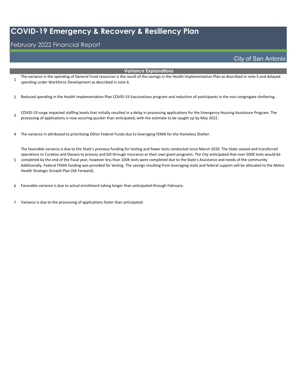#### February 2022 Financial Report

5

#### City of San Antonio

#### **Variance Explanations**

- 1 The variance in the spending of General Fund resources is the result of the savings in the Health Implementation Plan as described in note 5 and delayed spending under Workforce Development as described in note 6.
- 2 Reduced spending in the Health Implementation Plan COVID-19 Vaccinations program and reduction of participants in the non-congregate sheltering.
- 3 COVID-19 surge impacted staffing levels that initially resulted in a delay in processing applications for the Emergency Housing Assistance Program. The processing of applications is now occuring quicker than anticipated, with the estimate to be caught up by May 2022.
- 4 The variance in attributed to prioritizing Other Federal Funds due to leveraging FEMA for the Homeless Shelter.

The favorable variance is due to the State's previous funding for testing and fewer tests conducted since March 2020. The State ceased and transferred operations to Curative and Davaco to process and bill through insurance or their own grant programs. The City anticipated that over 500K tests would be completed by the end of the fiscal year, however less than 100K tests were completed due to the State's Assistance and needs of the community.

- Additionally, Federal FEMA funding was provided for testing. The savings resulting from leveraging state and federal support will be allocated to the Metro Health Strategic Growth Plan (SA Forward).
- 6 Favorable variance is due to actual enrollment taking longer than anticipated through February.
- 7 Variance is due to the processing of applications faster than anticipated.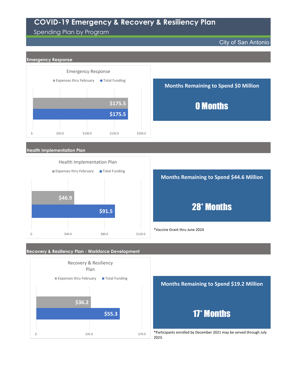## Spending Plan by Program

City of San Antonio



**\$91.5**   $\frac{1}{2}$ - \$40.0 \$40.0 \$80.0 \$120.0

# 28\* Months

\*Vaccine Grant thru June 2024

#### **Recovery & Resiliency Plan - Workforce Development**





\*Participants enrolled by December 2021 may be served through July 2023.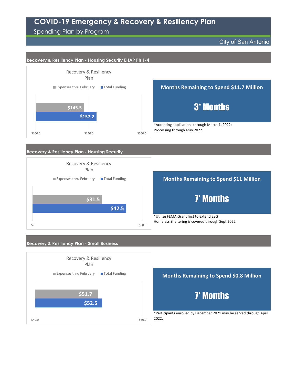#### Spending Plan by Program

 $$40.0$  \$40.0

City of San Antonio



\*Participants enrolled by December 2021 may be served through April 2022.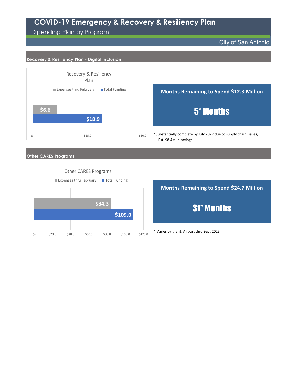Spending Plan by Program

City of San Antonio

#### **Recovery & Resiliency Plan - Digital Inclusion**





#### **Other CARES Programs**



\* Varies by grant: Airport thru Sept 2023 **Months Remaining to Spend \$24.7 Million** 31\* Months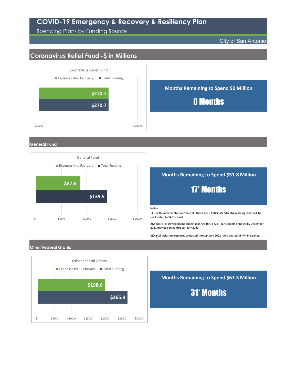Spending Plans by Funding Source

City of San Antonio

## **Coronavirus Relief Fund -\$ in Millions**



**General Fund**



#### **Months Remaining to Spend \$51.8 Million**

# 17\* Months

Notes:

1) Health Implementation Plan (HIP) thru FY22 - Anticipate \$16.7M in savings that will be reallocated to SA Forward.

2)Work Force Development budget planned thru FY21 - participants enrolled by December 2021 may be served through July 2023.

3)Digital Inclusion expenses projected through July 2022 - Anticipated \$8.4M in savings.

#### **Other Federal Grants**



**Months Remaining to Spend \$67.3 Million**

31\* Months